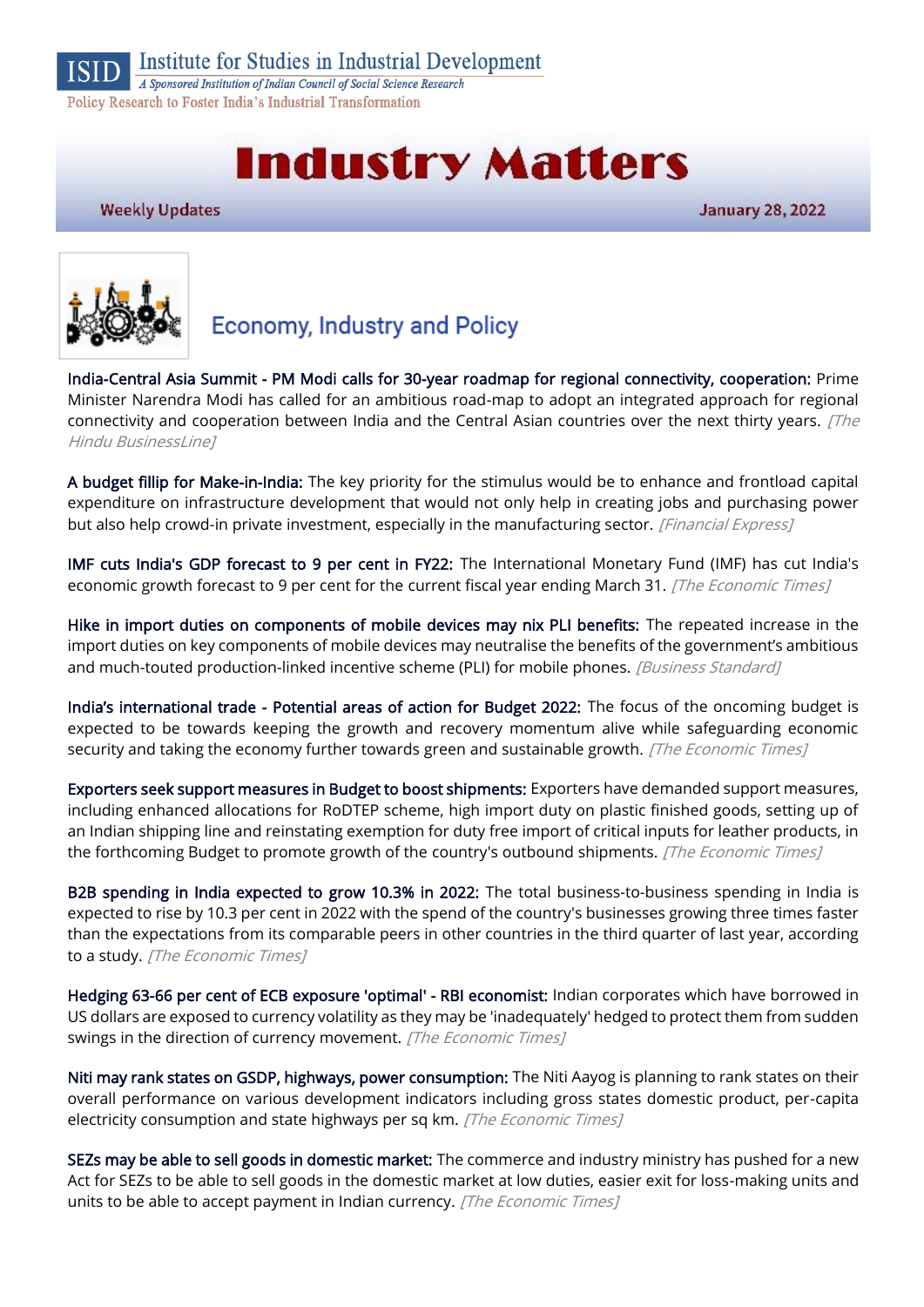

Institute for Studies in Industrial Development

A Sponsored Institution of Indian Council of Social Science Research Policy Research to Foster India's Industrial Transformation

# **Industry Matters**

**Weekly Updates** 

**January 28, 2022** 



# **Economy, Industry and Policy**

[India-Central Asia Summit - PM Modi calls for 30-year roadmap for regional connectivity, cooperation:](https://www.thehindubusinessline.com/economy/india-central-asia-summit-modi-calls-for-30-year-roadmap-for-regional-connectivity-cooperation/article64942000.ece) Prime Minister Narendra Modi has called for an ambitious road-map to adopt an integrated approach for regional connectivity and cooperation between India and the Central Asian countries over the next thirty years. [The Hindu BusinessLine]

[A budget fillip for Make-in-India:](https://www.financialexpress.com/opinion/a-budget-fillip-for-make-in-india/2415937/) The key priority for the stimulus would be to enhance and frontload capital expenditure on infrastructure development that would not only help in creating jobs and purchasing power but also help crowd-in private investment, especially in the manufacturing sector. [Financial Express]

[IMF cuts India's GDP forecast to 9 per cent in FY22:](https://economictimes.indiatimes.com/news/economy/indicators/imf-cuts-indias-gdp-forecast-to-9-per-cent-in-fy22/articleshow/89119752.cms) The International Monetary Fund (IMF) has cut India's economic growth forecast to 9 per cent for the current fiscal year ending March 31. [The Economic Times]

[Hike in import duties on components of mobile devices may nix PLI benefits:](https://www.business-standard.com/article/companies/hike-in-import-duties-on-components-of-mobile-devices-may-nix-pli-benefits-122012001764_1.html) The repeated increase in the import duties on key components of mobile devices may neutralise the benefits of the government's ambitious and much-touted production-linked incentive scheme (PLI) for mobile phones. [Business Standard]

India's international trade [- Potential areas of action for Budget 2022:](https://economictimes.indiatimes.com/news/economy/foreign-trade/indias-international-trade-potential-areas-of-action-for-budget-2022/articleshow/89113081.cms) The focus of the oncoming budget is expected to be towards keeping the growth and recovery momentum alive while safeguarding economic security and taking the economy further towards green and sustainable growth. [The Economic Times]

[Exporters seek support measures in Budget to boost shipments:](https://economictimes.indiatimes.com/news/economy/foreign-trade/exporters-seek-support-measures-in-budget-to-boost-shipments/articleshow/89093459.cms) Exporters have demanded support measures, including enhanced allocations for RoDTEP scheme, high import duty on plastic finished goods, setting up of an Indian shipping line and reinstating exemption for duty free import of critical inputs for leather products, in the forthcoming Budget to promote growth of the country's outbound shipments. [The Economic Times]

[B2B spending in India expected to grow 10.3% in 2022:](https://economictimes.indiatimes.com/news/economy/finance/b2b-spending-in-india-expected-to-grow-10-3-in-2022-report/articleshow/89040190.cms) The total business-to-business spending in India is expected to rise by 10.3 per cent in 2022 with the spend of the country's businesses growing three times faster than the expectations from its comparable peers in other countries in the third quarter of last year, according to a study. [The Economic Times]

[Hedging 63-66 per cent of ECB exposure 'optimal' - RBI economist:](https://economictimes.indiatimes.com/news/economy/policy/hedging-63-66-per-cent-of-ecb-exposure-optimal-rbi-economist/articleshow/89076417.cms) Indian corporates which have borrowed in US dollars are exposed to currency volatility as they may be 'inadequately' hedged to protect them from sudden swings in the direction of currency movement. [The Economic Times]

[Niti may rank states on GSDP, highways, power consumption:](https://economictimes.indiatimes.com/news/economy/policy/niti-may-rank-states-on-gsdp-highways-power-consumption/articleshow/89029464.cms) The Niti Aayog is planning to rank states on their overall performance on various development indicators including gross states domestic product, per-capita electricity consumption and state highways per sq km. [The Economic Times]

[SEZs may be able to sell goods in domestic market:](https://economictimes.indiatimes.com/news/economy/policy/sezs-may-be-able-to-sell-goods-in-domestic-market/articleshow/89029290.cms) The commerce and industry ministry has pushed for a new Act for SEZs to be able to sell goods in the domestic market at low duties, easier exit for loss-making units and units to be able to accept payment in Indian currency. [The Economic Times]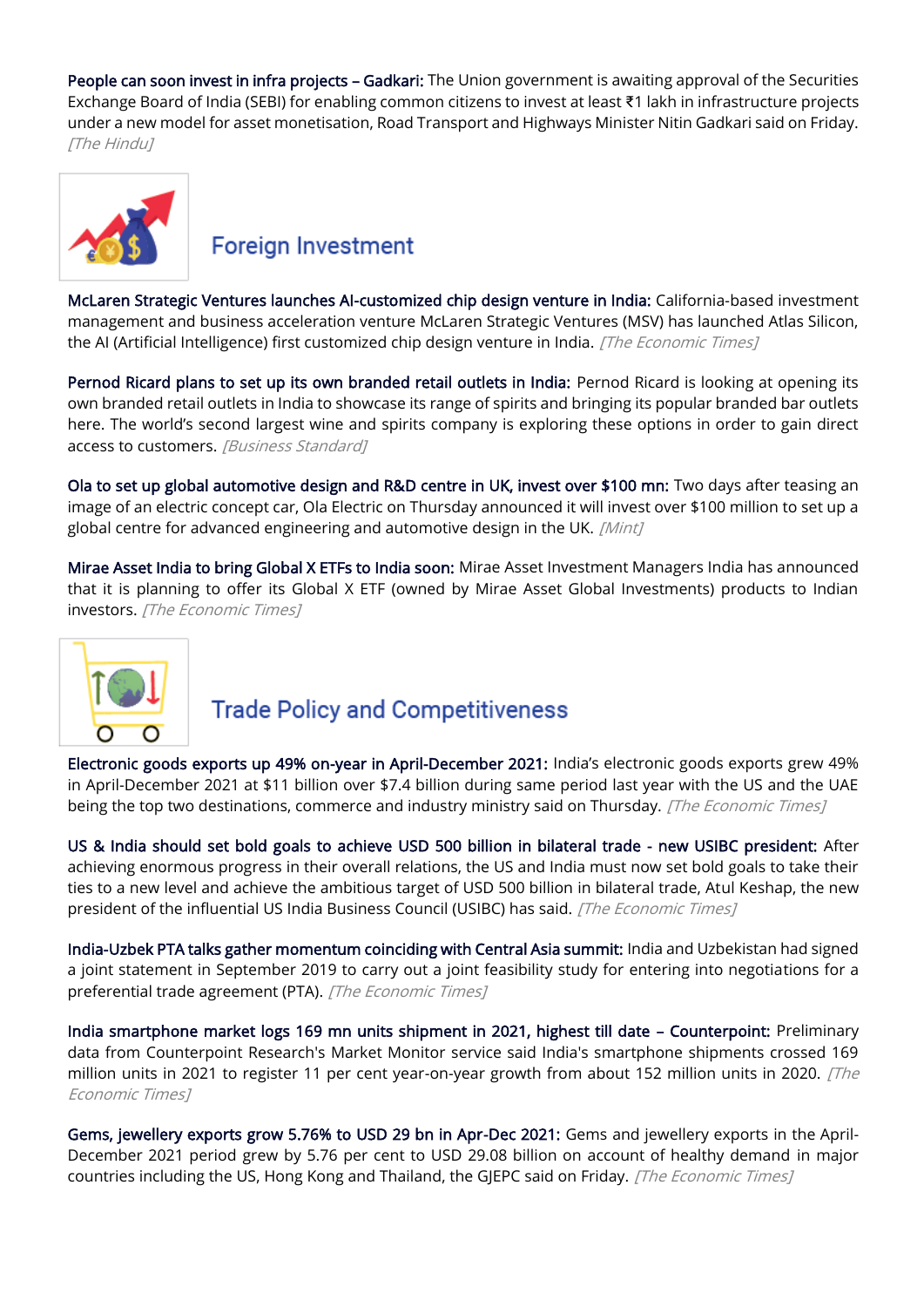[People can soon invest in infra projects](https://www.thehindu.com/business/Economy/people-can-soon-invest-in-infra-gadkari/article38305253.ece) – Gadkari: The Union government is awaiting approval of the Securities Exchange Board of India (SEBI) for enabling common citizens to invest at least ₹1 lakh in infrastructure projects under a new model for asset monetisation, Road Transport and Highways Minister Nitin Gadkari said on Friday. [The Hindu]



#### **Foreign Investment**

[McLaren Strategic Ventures launches AI-customized chip design venture in India:](https://economictimes.indiatimes.com/industry/cons-products/electronics/mclaren-strategic-ventures-launches-ai-customized-chip-design-venture-in-india/articleshow/89112275.cms) California-based investment management and business acceleration venture McLaren Strategic Ventures (MSV) has launched Atlas Silicon, the AI (Artificial Intelligence) first customized chip design venture in India. [The Economic Times]

[Pernod Ricard plans to set up its own branded retail outlets in India:](https://www.business-standard.com/article/companies/pernod-ricard-plans-to-set-up-its-own-branded-retail-outlets-in-india-122012500015_1.html) Pernod Ricard is looking at opening its own branded retail outlets in India to showcase its range of spirits and bringing its popular branded bar outlets here. The world's second largest wine and spirits company is exploring these options in order to gain direct access to customers. [Business Standard]

[Ola to set up global automotive design and R&D centre in UK, invest over \\$100 mn:](https://www.livemint.com/companies/news/ola-to-set-up-global-automotive-design-and-r-d-centre-in-uk-invest-over-100-mn-11643280700826.html) Two days after teasing an image of an electric concept car, Ola Electric on Thursday announced it will invest over \$100 million to set up a global centre for advanced engineering and automotive design in the UK. [Mint]

[Mirae Asset India to bring Global X ETFs to India soon:](https://economictimes.indiatimes.com/mf/mf-news/mirae-asset-india-to-bring-global-x-etfs-to-india-soon/articleshow/89157929.cms) Mirae Asset Investment Managers India has announced that it is planning to offer its Global X ETF (owned by Mirae Asset Global Investments) products to Indian investors. [The Economic Times]



### **Trade Policy and Competitiveness**

[Electronic goods exports up 49% on-year in April-December 2021:](https://economictimes.indiatimes.com/news/economy/foreign-trade/electronic-goods-exports-up-49-on-year-in-april-december-2021/articleshow/89162213.cms) India's electronic goods exports grew 49% in April-December 2021 at \$11 billion over \$7.4 billion during same period last year with the US and the UAE being the top two destinations, commerce and industry ministry said on Thursday. [The Economic Times]

[US & India should set bold goals to achieve USD 500 billion in bilateral trade - new USIBC president:](https://economictimes.indiatimes.com/news/economy/foreign-trade/us-india-should-set-bold-goals-to-achieve-usd-500-billion-in-bilateral-trade-new-usibc-president/articleshow/89034103.cms) After achieving enormous progress in their overall relations, the US and India must now set bold goals to take their ties to a new level and achieve the ambitious target of USD 500 billion in bilateral trade, Atul Keshap, the new president of the influential US India Business Council (USIBC) has said. [The Economic Times]

[India-Uzbek PTA talks gather momentum coinciding with Central Asia summit:](https://economictimes.indiatimes.com/news/economy/foreign-trade/india-uzbek-pta-talks-gather-momentum-coinciding-with-central-asia-summit/articleshow/89147799.cms) India and Uzbekistan had signed a joint statement in September 2019 to carry out a joint feasibility study for entering into negotiations for a preferential trade agreement (PTA). [The Economic Times]

[India smartphone market logs 169 mn units shipment in 2021, highest till date](https://economictimes.indiatimes.com/industry/cons-products/electronics/india-smartphone-market-logs-169-mn-units-shipment-in-2021-highest-till-date-counterpoint/articleshow/89040085.cms) – Counterpoint: Preliminary data from Counterpoint Research's Market Monitor service said India's smartphone shipments crossed 169 million units in 2021 to register 11 per cent year-on-year growth from about 152 million units in 2020. [The Economic Times]

[Gems, jewellery exports grow 5.76% to USD 29 bn in Apr-Dec 2021:](https://economictimes.indiatimes.com/industry/cons-products/fashion-/-cosmetics-/-jewellery/gems-jewellery-exports-grow-5-76-to-usd-29-bn-in-apr-dec-2021/articleshow/89038250.cms) Gems and jewellery exports in the April-December 2021 period grew by 5.76 per cent to USD 29.08 billion on account of healthy demand in major countries including the US, Hong Kong and Thailand, the GJEPC said on Friday. [The Economic Times]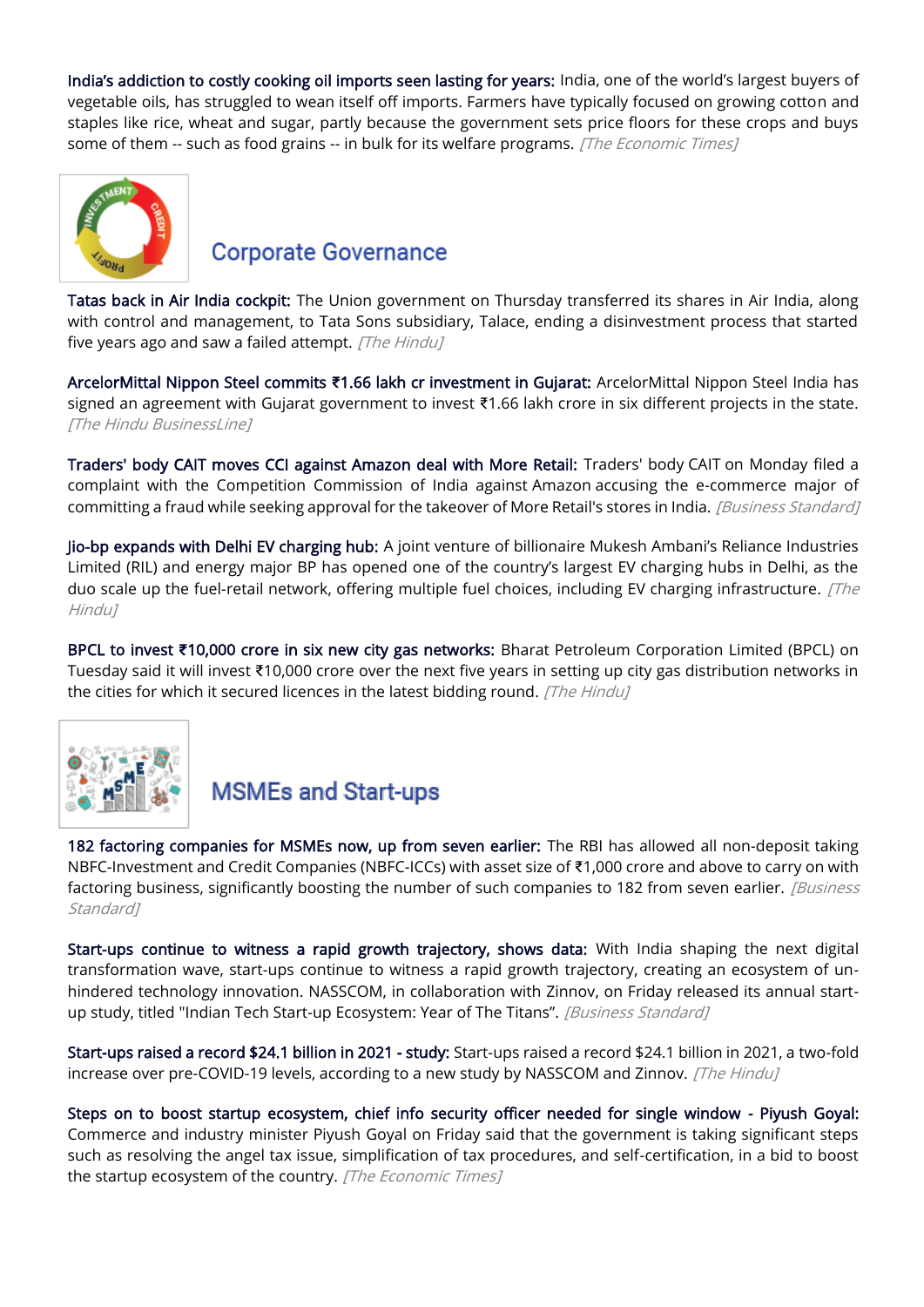[India's addiction to costly cooking oil imports seen lasting for years:](https://economictimes.indiatimes.com/industry/cons-products/food/indias-addiction-to-cooking-oil-imports-seen-lasting-for-years/articleshow/89087362.cms) India, one of the world's largest buyers of vegetable oils, has struggled to wean itself off imports. Farmers have typically focused on growing cotton and staples like rice, wheat and sugar, partly because the government sets price floors for these crops and buys some of them -- such as food grains -- in bulk for its welfare programs. [The Economic Times]



#### **Corporate Governance**

[Tatas back in Air India cockpit:](https://www.thehindu.com/business/air-india-to-be-handed-over-to-tatas-today/article38332353.ece) The Union government on Thursday transferred its shares in Air India, along with control and management, to Tata Sons subsidiary, Talace, ending a disinvestment process that started five years ago and saw a failed attempt.  $[The Hindu]$ 

[ArcelorMittal Nippon Steel commits](https://www.thehindubusinessline.com/companies/arcelormittal-nippon-steel-commits-rs-166-lakh-cr-investment-in-gujarat/article64942058.ece) **₹**1.66 lakh cr investment in Gujarat: ArcelorMittal Nippon Steel India has signed an agreement with Gujarat government to invest ₹1.66 lakh crore in six different projects in the state. [The Hindu BusinessLine]

[Traders' body CAIT moves CCI against Amazon deal with More Retail:](https://www.business-standard.com/article/companies/traders-body-cait-moves-cci-against-amazon-deal-with-more-retail-122012401281_1.html) Traders' body CAIT on Monday filed a complaint with the Competition Commission of India against Amazon accusing the e-commerce major of committing a fraud while seeking approval for the takeover of More Retail's stores in India. [Business Standard]

[Jio-bp expands with Delhi EV charging hub:](https://www.thehindu.com/business/Industry/jio-bp-expands-with-delhi-ev-charging-hub/article38330460.ece) A joint venture of billionaire Mukesh Ambani's Reliance Industries Limited (RIL) and energy major BP has opened one of the country's largest EV charging hubs in Delhi, as the duo scale up the fuel-retail network, offering multiple fuel choices, including EV charging infrastructure.  $[The$ Hindu<sub>1</sub>

BPCL to invest **₹**[10,000 crore in six new city gas networks:](https://www.thehindu.com/business/Economy/bpcl-to-invest-10000-crore-in-six-new-city-gas-networks/article38325908.ece) Bharat Petroleum Corporation Limited (BPCL) on Tuesday said it will invest ₹10,000 crore over the next five years in setting up city gas distribution networks in the cities for which it secured licences in the latest bidding round. [The Hindu]



### **MSMEs and Start-ups**

[182 factoring companies for MSMEs now, up from seven earlier:](https://www.business-standard.com/article/economy-policy/182-factoring-companies-for-msmes-now-up-from-seven-earlier-122012100032_1.html) The RBI has allowed all non-deposit taking NBFC-Investment and Credit Companies (NBFC-ICCs) with asset size of ₹1,000 crore and above to carry on with factoring business, significantly boosting the number of such companies to 182 from seven earlier. *[Business* Standard<sub>1</sub>

[Start-ups continue to witness a rapid growth trajectory, shows data:](https://www.business-standard.com/article/companies/start-ups-continue-to-witness-a-rapid-growth-trajectory-shows-data-122012200033_1.html) With India shaping the next digital transformation wave, start-ups continue to witness a rapid growth trajectory, creating an ecosystem of unhindered technology innovation. NASSCOM, in collaboration with Zinnov, on Friday released its annual startup study, titled "Indian Tech Start-up Ecosystem: Year of The Titans". [Business Standard]

[Start-ups raised a record \\$24.1 billion in 2021 - study:](https://www.thehindu.com/business/Industry/start-ups-raised-a-record-241-billion-in-2021-study/article38303642.ece) Start-ups raised a record \$24.1 billion in 2021, a two-fold increase over pre-COVID-19 levels, according to a new study by NASSCOM and Zinnov. [The Hindu]

[Steps on to boost startup ecosystem, chief info security officer needed for single window - Piyush Goyal:](https://economictimes.indiatimes.com/news/economy/policy/steps-on-to-boost-startup-ecosystem-chief-info-security-officer-needed-for-single-window-piyush-goyal/articleshow/89042559.cms) Commerce and industry minister Piyush Goyal on Friday said that the government is taking significant steps such as resolving the angel tax issue, simplification of tax procedures, and self-certification, in a bid to boost the startup ecosystem of the country. [The Economic Times]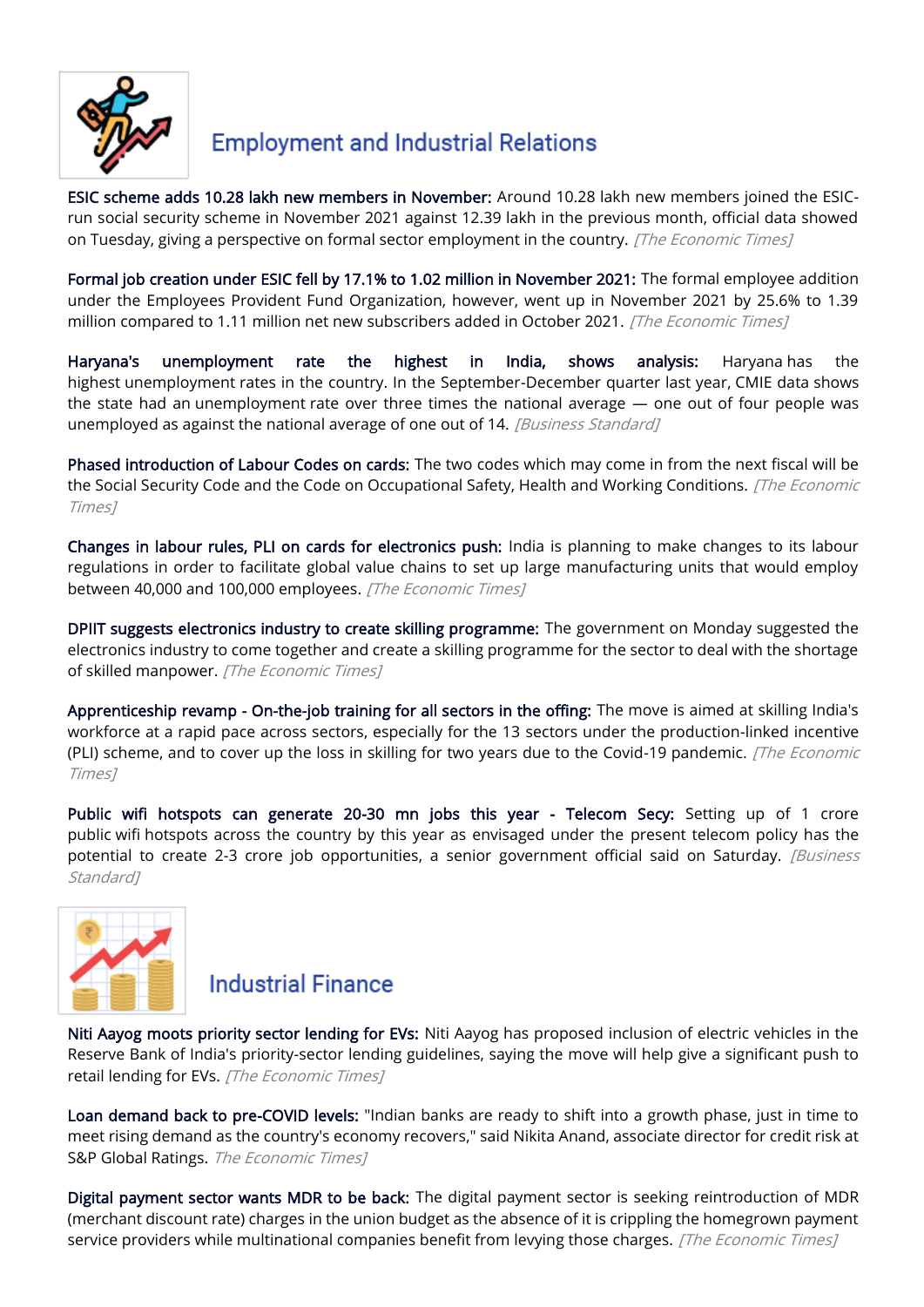

#### **Employment and Industrial Relations**

[ESIC scheme adds 10.28 lakh new members in November:](https://economictimes.indiatimes.com/news/economy/finance/esic-scheme-adds-10-28-lakh-new-members-in-november/articleshow/89112532.cms) Around 10.28 lakh new members joined the ESICrun social security scheme in November 2021 against 12.39 lakh in the previous month, official data showed on Tuesday, giving a perspective on formal sector employment in the country. [The Economic Times]

[Formal job creation under ESIC fell by 17.1% to 1.02 million in November 2021:](https://economictimes.indiatimes.com/news/economy/indicators/formal-job-creation-under-the-esic-fell-by-17-1-to-1-02-million-in-november-2021/articleshow/89115738.cms) The formal employee addition under the Employees Provident Fund Organization, however, went up in November 2021 by 25.6% to 1.39 million compared to 1.11 million net new subscribers added in October 2021. [The Economic Times]

[Haryana's unemployment rate the highest in India, shows analysis:](https://www.business-standard.com/article/economy-policy/haryana-s-unemployment-rate-the-highest-in-india-shows-analysis-122012001709_1.html) Haryana has the highest unemployment rates in the country. In the September-December quarter last year, CMIE data shows the state had an unemployment rate over three times the national average — one out of four people was unemployed as against the national average of one out of 14. [Business Standard]

[Phased introduction of Labour Codes on cards:](https://economictimes.indiatimes.com/news/economy/policy/phased-introduction-of-labour-codes-on-cards/articleshow/89128124.cms) The two codes which may come in from the next fiscal will be the Social Security Code and the Code on Occupational Safety, Health and Working Conditions. [The Economic Times]

[Changes in labour rules, PLI on cards for electronics push:](https://economictimes.indiatimes.com/industry/cons-products/electronics/changes-in-labour-rules-pli-on-cards-for-electronics-push/articleshow/89103714.cms) India is planning to make changes to its labour regulations in order to facilitate global value chains to set up large manufacturing units that would employ between 40,000 and 100,000 employees. [The Economic Times]

[DPIIT suggests electronics industry to create skilling programme:](https://economictimes.indiatimes.com/industry/cons-products/electronics/dpiit-suggests-electronics-industry-to-create-skilling-programme/articleshow/89093458.cms) The government on Monday suggested the electronics industry to come together and create a skilling programme for the sector to deal with the shortage of skilled manpower. [The Economic Times]

[Apprenticeship revamp - On-the-job training for all sectors in the offing:](https://economictimes.indiatimes.com/news/economy/policy/apprenticeship-revamp-on-the-job-training-for-all-sectors-in-the-offing/articleshow/89082902.cms) The move is aimed at skilling India's workforce at a rapid pace across sectors, especially for the 13 sectors under the production-linked incentive (PLI) scheme, and to cover up the loss in skilling for two years due to the Covid-19 pandemic. [The Economic Times]

[Public wifi hotspots can generate 20-30 mn jobs this year - Telecom Secy:](https://www.business-standard.com/article/economy-policy/public-wifi-hotspots-can-generate-20-30-mn-jobs-this-year-telecom-secy-122012200762_1.html) Setting up of 1 crore public wifi hotspots across the country by this year as envisaged under the present telecom policy has the potential to create 2-3 crore job opportunities, a senior government official said on Saturday. [Business Standard<sub>1</sub>



#### **Industrial Finance**

[Niti Aayog moots priority sector lending for EVs:](https://economictimes.indiatimes.com/news/economy/finance/niti-aayog-moots-priority-sector-lending-for-evs/articleshow/89051541.cms) Niti Aayog has proposed inclusion of electric vehicles in the Reserve Bank of India's priority-sector lending guidelines, saying the move will help give a significant push to retail lending for EVs. [The Economic Times]

[Loan demand back to pre-COVID levels:](https://economictimes.indiatimes.com/industry/banking/finance/banking/loan-demand-back-to-pre-covid-levels/articleshow/89119476.cms) "Indian banks are ready to shift into a growth phase, just in time to meet rising demand as the country's economy recovers," said Nikita Anand, associate director for credit risk at S&P Global Ratings. The Economic Times]

[Digital payment sector wants MDR to be back:](https://economictimes.indiatimes.com/industry/banking/finance/digital-payment-sector-wants-mdr-to-be-back/articleshow/89075478.cms) The digital payment sector is seeking reintroduction of MDR (merchant discount rate) charges in the union budget as the absence of it is crippling the homegrown payment service providers while multinational companies benefit from levying those charges. [The Economic Times]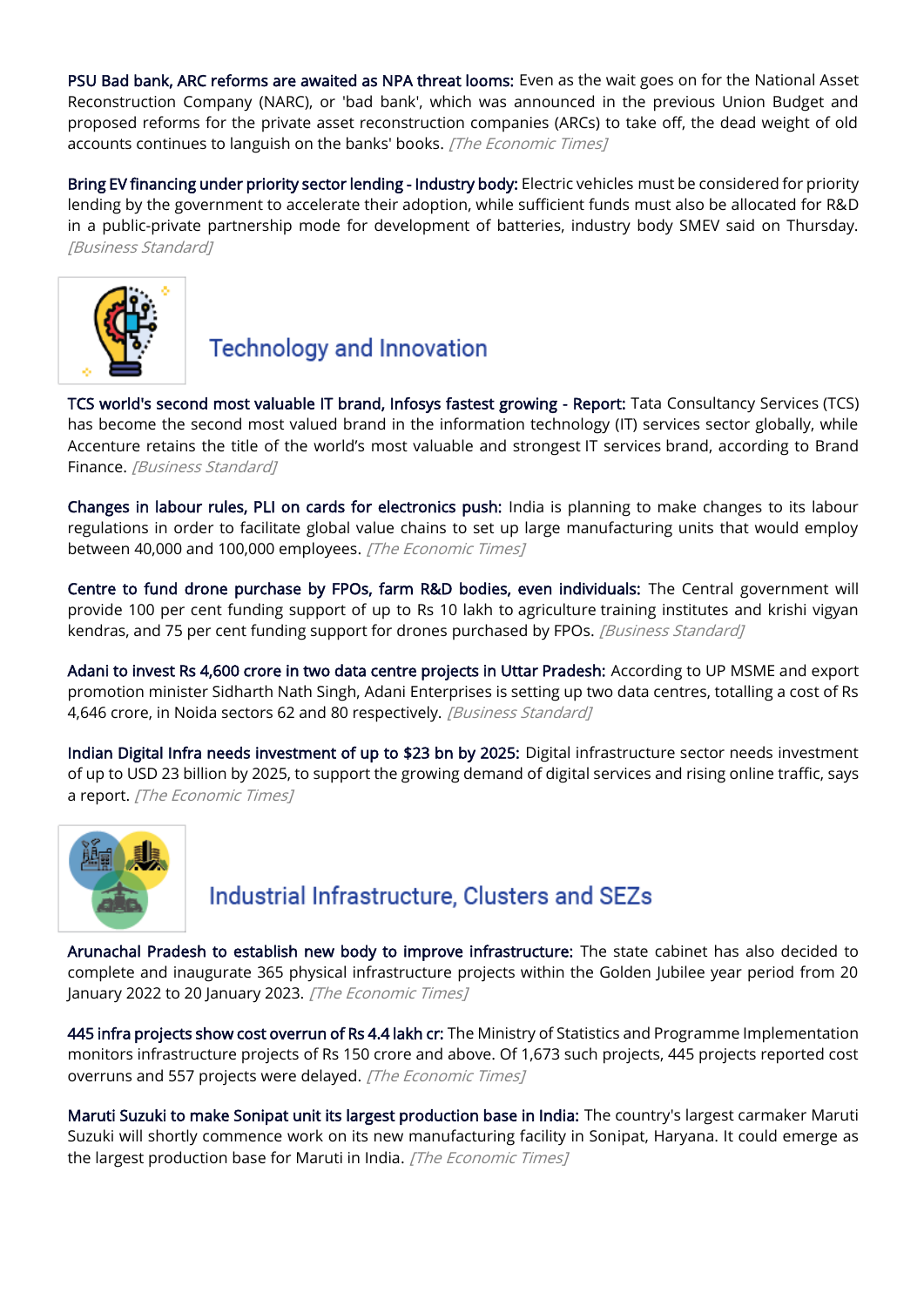[PSU Bad bank, ARC reforms are awaited as NPA threat looms:](https://economictimes.indiatimes.com/industry/banking/finance/banking/psu-bad-bank-arc-reforms-are-awaited-as-npa-threat-looms/articleshow/89086610.cms) Even as the wait goes on for the National Asset Reconstruction Company (NARC), or 'bad bank', which was announced in the previous Union Budget and proposed reforms for the private asset reconstruction companies (ARCs) to take off, the dead weight of old accounts continues to languish on the banks' books. [The Economic Times]

[Bring EV financing under priority sector lending - Industry body:](https://www.business-standard.com/article/economy-policy/bring-ev-financing-under-priority-sector-lending-industry-body-122012100050_1.html) Electric vehicles must be considered for priority lending by the government to accelerate their adoption, while sufficient funds must also be allocated for R&D in a public-private partnership mode for development of batteries, industry body SMEV said on Thursday. [Business Standard]



## **Technology and Innovation**

[TCS world's second most valuable IT brand, Infosys fastest growing - Report:](https://www.business-standard.com/article/companies/tcs-world-s-second-most-valuable-it-brand-infosys-fastest-growing-report-122012600486_1.html) Tata Consultancy Services (TCS) has become the second most valued brand in the information technology (IT) services sector globally, while Accenture retains the title of the world's most valuable and strongest IT services brand, according to Brand Finance. [Business Standard]

[Changes in labour rules, PLI on cards for electronics push:](https://economictimes.indiatimes.com/industry/cons-products/electronics/changes-in-labour-rules-pli-on-cards-for-electronics-push/articleshow/89103714.cms) India is planning to make changes to its labour regulations in order to facilitate global value chains to set up large manufacturing units that would employ between 40,000 and 100,000 employees. [The Economic Times]

[Centre to fund drone purchase by FPOs, farm R&D bodies, even individuals:](https://www.business-standard.com/article/economy-policy/centre-to-fund-drone-purchase-by-fpos-farm-r-d-bodies-even-individuals-122012101268_1.html) The Central government will provide 100 per cent funding support of up to Rs 10 lakh to agriculture training institutes and krishi vigyan kendras, and 75 per cent funding support for drones purchased by FPOs. [Business Standard]

[Adani to invest Rs 4,600 crore in two data centre projects in Uttar Pradesh:](https://www.business-standard.com/article/companies/adani-to-invest-rs-4-600-crore-in-two-data-centre-projects-in-uttar-pradesh-122012400033_1.html) According to UP MSME and export promotion minister Sidharth Nath Singh, Adani Enterprises is setting up two data centres, totalling a cost of Rs 4,646 crore, in Noida sectors 62 and 80 respectively. [Business Standard]

[Indian Digital Infra needs investment of up to \\$23 bn by 2025:](https://economictimes.indiatimes.com/news/economy/infrastructure/indian-digital-infra-needs-investment-of-up-to-23-bn-by-2025-report/articleshow/89085952.cms) Digital infrastructure sector needs investment of up to USD 23 billion by 2025, to support the growing demand of digital services and rising online traffic, says a report. [The Economic Times]



### Industrial Infrastructure, Clusters and SEZs

[Arunachal Pradesh to establish new body to improve infrastructure:](https://economictimes.indiatimes.com/news/economy/infrastructure/arunachal-pradesh-to-establish-new-body-to-improve-infrastructure/articleshow/89032222.cms) The state cabinet has also decided to complete and inaugurate 365 physical infrastructure projects within the Golden Jubilee year period from 20 January 2022 to 20 January 2023. [The Economic Times]

[445 infra projects show cost overrun of Rs 4.4 lakh cr:](https://economictimes.indiatimes.com/news/economy/infrastructure/445-infra-projects-show-cost-overrun-of-rs-4-4-lakh-cr/articleshow/89071054.cms) The Ministry of Statistics and Programme Implementation monitors infrastructure projects of Rs 150 crore and above. Of 1,673 such projects, 445 projects reported cost overruns and 557 projects were delayed. [The Economic Times]

[Maruti Suzuki to make Sonipat unit its largest production base in India:](https://economictimes.indiatimes.com/industry/auto/auto-news/maruti-suzuki-to-make-sonipat-unit-its-largest-production-base-in-india/articleshow/89104012.cms) The country's largest carmaker Maruti Suzuki will shortly commence work on its new manufacturing facility in Sonipat, Haryana. It could emerge as the largest production base for Maruti in India. [The Economic Times]